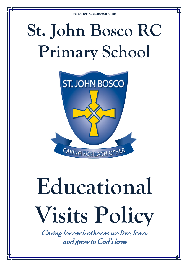## **St. John Bosco RC Primary School**



# **Educational Visits Policy**

Caring for each other as we live, learn and grow in God's love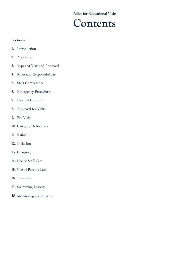### **Contents**

#### **Sections**

- **1.** Introduction
- **2.** Application
- **3.** Types of Visit and Approval
- **4.** Roles and Responsibilities
- **5.** Staff Competence
- **6.** Emergency Procedures
- **7.** Parental Consent
- <span id="page-1-0"></span>**8.** Approval for Visits
- **9.** Pre Visits
- **10.** Category Definitions
- **11.** Ratios
- **12.** Inclusion
- **13.** Charging
- **14.** Use of Staff Cars
- **15.** Use of Parents Cars
- **16.** Insurance
- **17.** Swimming Lessons
- **18.** Monitoring and Review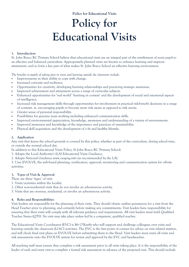## **Policy for Educational Visits**

#### **1. Introduction**

St. John Bosco RC Primary School believe that educational visits are an integral part of the entitlement of every pupil to an effective and balanced curriculum. Appropriately planned visits are known to enhance learning and improve attainment, and so form a key part of what makes St. John Bosco School an effective learning environment.

*The benefits to pupils of taking part in visits and learning outside the classroom include:*

- Improvements in their ability to cope with change.
- Increased curiosity and resilience.
- Opportunities for creativity, developing learning relationships and practicing strategic awareness.
- Improved achievement and attainment across a range of curricular subjects.
- Enhanced opportunities for 'real world' 'learning in context' and the development of social and emotional aspects of intelligence.
- Increased risk management skills through opportunities for involvement in practical risk-benefit decisions in a range of contexts. ie. encouraging pupils to become more risk aware as opposed to risk averse.
- Greater sense of personal responsibility.
- Possibilities for genuine team working including enhanced communication skills.
- Improved environmental appreciation, knowledge, awareness and understanding of a variety of environments.
- Improved awareness and knowledge of the importance and practices of sustainability.
- Physical skill acquisition and the development of a fit and healthy lifestyle.

#### **2. Application**

Any visit that leaves the school grounds is covered by this policy, whether as part of the curriculum, during school time, or outside the normal school day.

In addition to this Educational Visits Policy, St John Bosco RC Primary School:

1. Adopts the Local Authority's (LA) Educational Visits Guidance,

2. Adopts National Guidance www.oeapng.info (as recommended by the LA).

3. Uses EVOLVE, the web-based planning, notification, approval, monitoring and communication system for off-site activities.

#### **3. Types of Visit & Approval**

There are three 'types' of visit:

- 1. Visits/activities within the locality
- 2. Other non-residential visits that do not involve an adventurous activity.

3. Visits that are overseas, residential, or involve an adventurous activity.

#### **4. Roles and Responsibilities**

Visit leaders are responsible for the planning of their visits. They should obtain outline permission for a visit from the Head Teacher prior to planning, and certainly before making any commitments. Visit leaders have responsibility for ensuring that their visits will comply with all relevant guidance and requirements. All visit leaders must hold Qualified Teacher Status (QTS). No visit may take place unless led by a competent, qualified teacher.

The Educational Visits Coordinator (EVC) is Mr O'Keeffe who will support and challenge colleagues over visits and learning outside the classroom (LOtC) activities. The EVC is the first point of contact for advice on visit related matters, and will check final visit plans on EVOLVE before submitting them to the Head. Visit leaders must enter all visits and risk assessments onto the EVOLVE system for review and approval by the EVC and headteacher.

All teaching staff must ensure they complete a risk assessment prior to all visits taking place. It is the responsibility of the leader of each and every visit to complete a formal risk assessment in advance of the proposed visit. This should include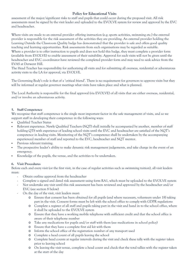assessment of the major/significant risks to staff and pupils that could occur during the proposed visit. All risk assessments must be signed by the visit leader and uploaded to the EVOLVE system for review and approval by the EVC and headteacher.

Where visits are made to an external provider offering instruction (e.g. sports activities, swimming etc.) the external provider is responsible for the risk assessment of the activities they are providing. An external provider holding the Learning Outside the Classroom Quality badge has demonstrated that the provider is safe and offers good quality teaching and learning opportunities. Risk assessments from such organisations may be regarded as suitable. Where a provider is to offer instruction to pupils and does not hold this badge, they must complete a provider form (available from EVOLVE) to enable assessment of their suitability. Approval for such visits will not be given until the headteacher and EVC co-ordinator have reviewed the completed provider form and may need to seek advice from the EVAS at Derwent Hill.

The Head Teacher has responsibility for authorising all visits and for submitting all overseas, residential or adventurous activity visits to the LA for approval, via EVOLVE.

The Governing Body's role is that of a 'critical friend'. There is no requirement for governors to approve visits but they will be informed at regular governor meetings what visits have taken place and what is planned.

The Local Authority is responsible for the final approval (via EVOLVE) of all visits that are either overseas, residential, and/or involve an adventurous activity.

#### **5. Staff Competence**

We recognise that staff competence is the single most important factor in the safe management of visits, and so we support staff in developing their competence in the following ways:

- Qualified Teacher Status
- Relevant experience. Newly Qualified Teachers (NQT) shall initially be accompanied by another, member of staff holding QTS with experience of leading school visits until the EVC and headteacher are satisfied of the NQT's competence in leading visits. Monitoring of the NQT's competence shall be undertaken by the accompanying experienced member of staff and reported to the EVC, headteacher and NQT mentor.
- Previous relevant training.
- The prospective leader's ability to make dynamic risk management judgements, and take charge in the event of an emergency.
- Knowledge of the pupils, the venue, and the activities to be undertaken.

#### **6. Visit Procedures**

Before each and every visit (or the first visit, in the case of regular activities such as swimming tuition), all visit leaders must:

- Obtain outline approval from the headteacher
	- Complete a signed and dated risk assessment using form RA1, which must be uploaded to the EVOLVE system
	- Not undertake any visit until this risk assessment has been reviewed and approved by the headteacher and/or EVC (see section [8](#page-1-0) below)
	- On the day of the visit, visit leaders must:
		- o Ensure that consent has been obtained for all pupils (and where necessary, volunteers under 18) taking part in the visit. Consent forms must be left with the school office to comply with GDPR regulations
		- o Complete a register of all staff and pupils taking part in the visit and hand in to the school office, where it shall be uploaded to the EVOLVE system
		- o Ensure that they have a working mobile telephone with sufficient credit and that the school office is aware of their telephone number
		- o Take any medications for pupils and/or staff with them (see medications in school policy)
		- o Ensure that they have a complete first aid kit with them
		- o Inform the school office of the registration number of any transport used
		- o Complete a head count of all pupils leaving the school
		- o Complete head counts at regular intervals during the visit and check these tally with the register taken prior to leaving school
		- o On leaving the visit venue, complete a head count and check that the total tallies with the register taken at the start of the day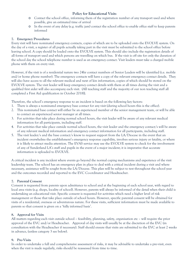- o Contact the school office, informing them of the registration number of any transport used and where possible, give an estimated time of arrival
- o In the event of any delay (e.g. traffic jam) contact the school office to enable office staff to keep parents informed

#### **7. Emergency Procedures**

Every visit will have nominated emergency contacts, copies of which are to be uploaded onto the EVOLVE system. On the day of a visit, a register of all pupils actually taking part in the visit must be submitted to the school office before leaving school. A copy should be loaded onto the EVOLVE system. This should also include the registration details of all forms of transport used and which persons are travelling on which bus. If the visit is off site for only the duration of the school day the school telephone number is used as an emergency contact. Visit leaders must take a charged mobile phone with them on every visit.

However, if the visit is of a residential nature two 24hr contact numbers of Senior Leaders will be identified (i.e. mobile and/or home phone number). The emergency contacts will have a copy of the relevant emergency contact details. They will also have access to all the relevant medical and next of kin information, copies of which should be stored on the EVOLVE system. The visit leader will keep emergency contact details with them at all times during the visit and a qualified first aider will also accompany each visit. (All teaching staff and the majority of our non teaching staff all completed a First Aid qualification in October 2018)}.

Therefore, the school's emergency response to an incident is based on the following key factors:

- 1. There is always a nominated emergency base contact for any visit (during school hours this is the office).
- 2. This nominated base contact will either be an experienced member of the senior management team, or will be able to contact an experienced senior manager at all times.
- 3. For activities that take place during normal school hours, the visit leader will be aware of any relevant medical information for all participants, including staff.
- 4. For activities that take place outside normal school hours, the visit leader and the emergency contact/s will be aware of any relevant medical information and emergency contact information for all participants, including staff.
- 5. The visit leader/s and the base contact/s know to request support from the LA/Diocese in the event that an incident overwhelms the establishment's emergency response capability, involves serious injury or fatality, or where it is likely to attract media attention. The EVAS service may use the EVOLVE system to check for the involvement of any of Sunderland LA's staff and pupils in the event of a major incident; it is imperative that accurate information is uploaded to EVOLVE.

A critical incident is any incident where events go beyond the normal coping mechanisms and experience of the visit leadership team. The school has an emergency plan in place to deal with a critical incident during a visit and where necessary, assistance will be sought from the LA/Diocese. This plan will be subject to test throughout the school year and the outcomes recorded and reported to the EVC Co-ordinator and Headteacher.

#### **7. Parental Consent**

Consent is requested from parents upon admittance to school and at the beginning of each school year, with regard to local area visits (e.g. shops, locality of school). However, parents will always be informed of the detail when their child is undertaking an educational visit. Specific consent is requested for activities which need a higher level of risk management or those that take place outside of school hours. However, specific parental consent will be obtained for visits of a residential, overseas or adventurous nature. For these visits, sufficient information must be made available to parents so that consent is given on a 'fully informed basis'.

#### **8. Approval for Visits**

All matters regarding each visit outside school – feasibility, planning, safety, organisation etc – will require the prior approval of the EVC and/or Headteacher. Approval of day visits will usually be at the discretion of the EVC (in consultation with the Headteacher if necessary). Staff should ensure that visits are submitted to the EVC at least 2 weeks in advance, (unless category 3 see below).

#### **9. Pre**‐**Visits**

In order to undertake a full and comprehensive assessment of risks, it may be advisable to undertake a pre-visit, even when the visit is made regularly, risks should be reassessed from time to time.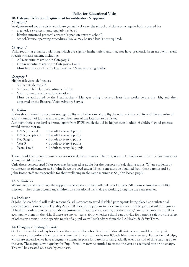#### **10. Category Definition Requirement for notification & approval**  Category 1

Straightforward routine visits which are generally close to the school and done on a regular basis, covered by:

- a generic risk assessment, regularly reviewed
- blanket informed parental consent (signed on entry to school)
- school/service operating procedures Evolve may be used but is not required.

#### Category 2

Visits requiring enhanced planning which are slightly further afield and may not have previously been used with eventspecific risk assessment, including:

- All residential visits not in Category 3
- Non-residential visits not in Categories 1 or 3 Must be authorised by the Headteacher / Manager, using Evolve.

#### Category 3

Higher risk visits, defined as:

- Visits outside the UK
- Visits which include adventure activities
- Visits to remote or hazardous locations Must be authorised by the Headteacher / Manager using Evolve at least four weeks before the visit, and then approved by the External Visits Advisory Service.

#### **11. Ratios**

Ratios should take into account sex, age, ability and behaviour of pupils; the nature of the activity and the expertise of adults; duration of journey and any requirements of the location to be visited.

Although there is no legal set ratio, (apart from EYFS which should be higher than 1 adult : 6 children) good practice would ensure that in:

- EYFS (nursery)  $= 1$  adult to every 3 pupils
- EYFS (reception)  $= 1$  adult to every 5 pupils
- $Key Stage 1 = 1$  adult to every 6 pupils
- Year  $3 = 1$  adult to every  $8$  pupils
- Years  $4 \text{ to } 6$  = 1 adult to every 10 pupils

These should be the minimum ratios for normal circumstances. They may need to be higher in individual circumstances where the risk is raised.

Only those persons aged 18 or over may be classed as adults for the purposes of calculating ratios. Where students or volunteers on placements at St. John Bosco are aged under 18, consent must be obtained from their parents and St. John Bosco staff are responsible for their wellbeing in the same manner as St. John Bosco pupils.

#### **12. Volunteers**

We welcome and encourage the support, experiences and help offered by volunteers. All of our volunteers are DBS checked. They often accompany children on educational visits always working alongside the class teacher.

#### **13. Inclusion**

St John Bosco School will make reasonable adjustments to avoid disabled participants being placed at a substantial disadvantage. However, the Equality Act 2010 does not require us to place employees or participants at risk of injury or ill health in order to make reasonable adjustments. If appropriate, we may ask the parent/carer of a particular pupil to accompany them on the visit. If there are any concerns about whether school can provide for a pupil's safety or the safety of others on a visit due the specific needs of a pupil we will seek advice from the LA Health & Safety Team.

#### **14. Charging / funding for visits**

St. John Bosco School pay for visits as they occur. The school try to subsidise all visits where possible and request voluntary contributions from parents where the full cost cannot be met (Coach hire, Entry fee etc.). For residential trips, which are expensive, we have a payment scheme in place for parents to pay gradually over a period of time leading up to the visit. Those pupils who qualify for Pupil Premium may be entitled to attend the visit at a reduced rate or no charge. This will be assessed on a case by case basis.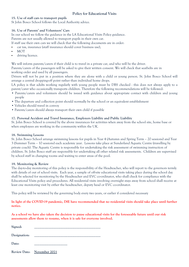#### **15. Use of staff cars to transport pupils**

St John Bosco School follows the Local Authority advice.

#### **16. Use of Parents' and Volunteers' Cars**

In our school we follow the guidance in the LA Educational Visits Policy guidance.

Parents are not usually allowed to transport pupils in their own car.

- If staff use their own cars we will check that the following documents are in order:
- car tax, insurance (staff insurance should cover business use),
- MOT
- driving licence.

We will inform parents/carers if their child is to travel in a private car, and who will be the driver.

Parents/carers of the passengers will be asked to give their written consent. We will check that seatbelts are in working order and used by all passengers.

Drivers will not be put in a position where they are alone with a child or young person. St. John Bosco School will arrange a central dropping-off point rather than individual home drops.

LA policy is that adults working regularly with young people must be DBS checked - this does not always apply to a parent/carer who occasionally transports children. Therefore the following recommendations will be followed:

- Parents/carers and volunteers should be issued with guidance about appropriate contact with children and young people
- The departure and collection point should normally be the school or an equivalent establishment
- Vehicles should travel in convoy
- Parents/carers should always transport their own child if possible

#### **17. Personal Accident and Travel Insurance, Employers Liability and Public Liability**

St. John Bosco School is covered by the above insurances for activities when away from the school site, home base or when employees are working in the community within the UK.

#### **18. Swimming Lessons**

St. John Bosco School arrange swimming lessons for pupils in Year 4 (Autumn and Spring Term – 20 sessions) and Year 3 (Summer Term – 10 sessions) each academic year. Lessons take place at Sunderland Aquatic Centre (travelling by private coach). The Aquatic Centre is responsible for undertaking the risk assessment of swimming instruction of children. St. John Bosco staff are responsible for undertaking all other related risk assessments. Children are supervised by school staff in changing rooms and waiting to enter areas of the pool.

#### **19. Monitoring & Review**

The day-to-day monitoring of this policy is the responsibility of the Headteacher, who will report to the governors termly with details of out of school visits. Each year, a sample of off-site educational visits taking place during the school day shall be selected for monitoring by the Headteacher and EVC co-ordinator, who shall check for compliance with the Educational Visits policy and procedures. All residential visits involving overnight stays away from school shall receive at least one monitoring visit by either the headteacher, deputy head or EVC co-ordinator.

This policy will be reviewed by the governing body every two years, or earlier if considered necessary

**In light of the COVID-19 pandemic, DfE have recommended that no residential visits should take place until further notice.**

**As a school we have also taken the decision to pause educational visits for the foreseeable future until our risk assessments allow them to resume, when it is safe for everyone involved.**

| Signed:      |                            |
|--------------|----------------------------|
| Designation: |                            |
| Date:        |                            |
|              | Review Date: November 2021 |